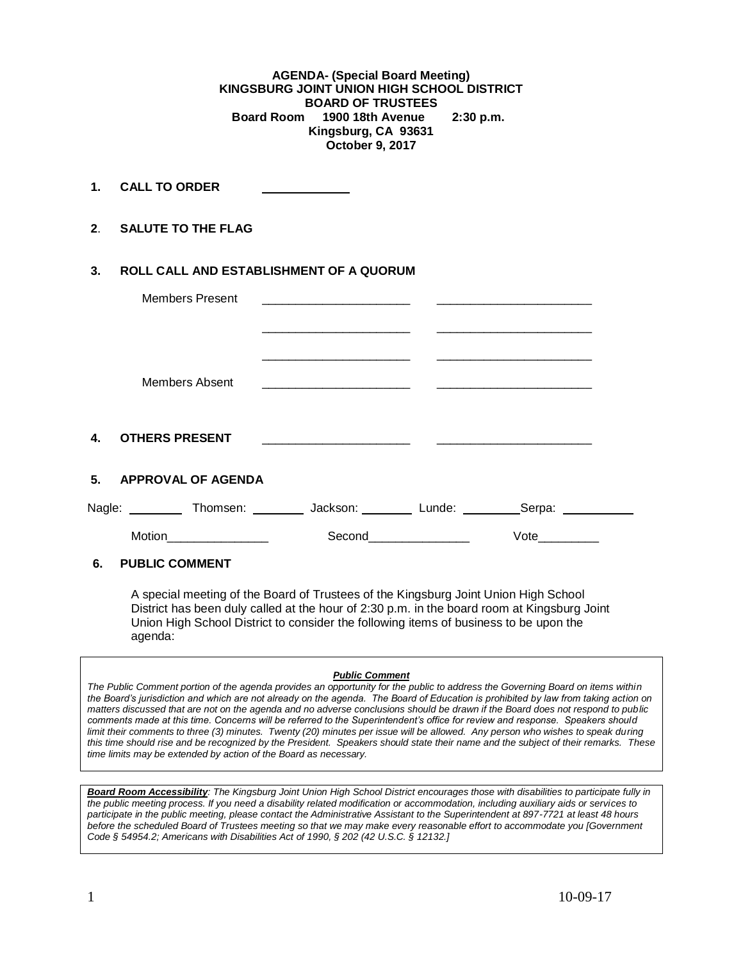**AGENDA- (Special Board Meeting) KINGSBURG JOINT UNION HIGH SCHOOL DISTRICT BOARD OF TRUSTEES Board Room 1900 18th Avenue 2:30 p.m. Kingsburg, CA 93631 October 9, 2017**

**1. CALL TO ORDER** 

**2**. **SALUTE TO THE FLAG**

## **3. ROLL CALL AND ESTABLISHMENT OF A QUORUM**

| <b>Members Present</b>                                                                      | <u> 1980 - Johann Harry Harry Harry Harry Harry Harry Harry Harry Harry Harry Harry Harry Harry Harry Harry Harry</u>                                                                                                                             |                       |                                                                                                                        |  |
|---------------------------------------------------------------------------------------------|---------------------------------------------------------------------------------------------------------------------------------------------------------------------------------------------------------------------------------------------------|-----------------------|------------------------------------------------------------------------------------------------------------------------|--|
|                                                                                             |                                                                                                                                                                                                                                                   |                       | <u> 2000 - Jan Alexander von Bernstein von Bernstein und der Stadt und der Kanades und der Stadt und der Stadt und</u> |  |
| <b>Members Absent</b>                                                                       | <u> 2000 - Jan James James Jan James James James James James James James James James James James James James Jam</u> es<br><u> 2000 - Andrea Andrew Maria (</u> ) - Andrew Maria ( ) - Andrew Maria ( ) - Andrew Maria ( ) - Andrew Maria ( ) - A |                       |                                                                                                                        |  |
| 4. OTHERS PRESENT                                                                           | <u> 1990 - Jan James James James James James James James James James James James James James James James James J</u>                                                                                                                              |                       |                                                                                                                        |  |
| 5. APPROVAL OF AGENDA                                                                       |                                                                                                                                                                                                                                                   |                       |                                                                                                                        |  |
| Nagle: ___________ Thomsen: __________ Jackson: _________ Lunde: __________Serpa: _________ |                                                                                                                                                                                                                                                   |                       |                                                                                                                        |  |
|                                                                                             |                                                                                                                                                                                                                                                   | Second_______________ | Vote                                                                                                                   |  |
| 6.<br><b>PUBLIC COMMENT</b>                                                                 |                                                                                                                                                                                                                                                   |                       |                                                                                                                        |  |

A special meeting of the Board of Trustees of the Kingsburg Joint Union High School District has been duly called at the hour of 2:30 p.m. in the board room at Kingsburg Joint Union High School District to consider the following items of business to be upon the agenda:

## *Public Comment*

*The Public Comment portion of the agenda provides an opportunity for the public to address the Governing Board on items within the Board's jurisdiction and which are not already on the agenda. The Board of Education is prohibited by law from taking action on matters discussed that are not on the agenda and no adverse conclusions should be drawn if the Board does not respond to public comments made at this time. Concerns will be referred to the Superintendent's office for review and response. Speakers should limit their comments to three (3) minutes. Twenty (20) minutes per issue will be allowed. Any person who wishes to speak during this time should rise and be recognized by the President. Speakers should state their name and the subject of their remarks. These time limits may be extended by action of the Board as necessary.*

*Board Room Accessibility: The Kingsburg Joint Union High School District encourages those with disabilities to participate fully in the public meeting process. If you need a disability related modification or accommodation, including auxiliary aids or services to participate in the public meeting, please contact the Administrative Assistant to the Superintendent at 897-7721 at least 48 hours before the scheduled Board of Trustees meeting so that we may make every reasonable effort to accommodate you [Government Code § 54954.2; Americans with Disabilities Act of 1990, § 202 (42 U.S.C. § 12132.]*